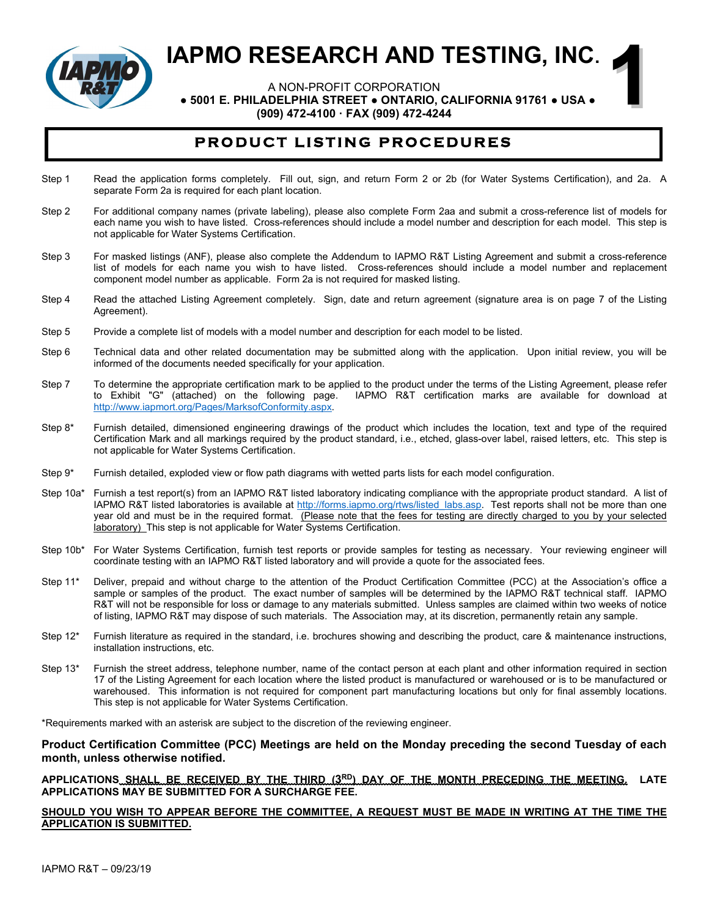

A NON-PROFIT CORPORATION

 **● 5001 E. PHILADELPHIA STREET ● ONTARIO, CALIFORNIA 91761 ● USA ●**

**1**

**(909) 472-4100 · FAX (909) 472-4244**

# **PRODUCT LISTING PROCEDURES**

- Step 1 Read the application forms completely. Fill out, sign, and return Form 2 or 2b (for Water Systems Certification), and 2a. A separate Form 2a is required for each plant location.
- Step 2 For additional company names (private labeling), please also complete Form 2aa and submit a cross-reference list of models for each name you wish to have listed. Cross-references should include a model number and description for each model. This step is not applicable for Water Systems Certification.
- Step 3 For masked listings (ANF), please also complete the Addendum to IAPMO R&T Listing Agreement and submit a cross-reference list of models for each name you wish to have listed. Cross-references should include a model number and replacement component model number as applicable. Form 2a is not required for masked listing.
- Step 4 Read the attached Listing Agreement completely. Sign, date and return agreement (signature area is on page 7 of the Listing Agreement).
- Step 5 Provide a complete list of models with a model number and description for each model to be listed.
- Step 6 Technical data and other related documentation may be submitted along with the application. Upon initial review, you will be informed of the documents needed specifically for your application.
- Step 7 To determine the appropriate certification mark to be applied to the product under the terms of the Listing Agreement, please refer<br>to Exhibit "G" (attached) on the following page. IAPMO R&T certification marks are IAPMO R&T certification marks are available for download at [http://www.iapmort.org/Pages/MarksofConformity.aspx.](http://www.iapmort.org/Pages/MarksofConformity.aspx)
- Step 8\* Furnish detailed, dimensioned engineering drawings of the product which includes the location, text and type of the required Certification Mark and all markings required by the product standard, i.e., etched, glass-over label, raised letters, etc. This step is not applicable for Water Systems Certification.
- Step 9\* Furnish detailed, exploded view or flow path diagrams with wetted parts lists for each model configuration.
- Step 10a\* Furnish a test report(s) from an IAPMO R&T listed laboratory indicating compliance with the appropriate product standard. A list of IAPMO R&T listed laboratories is available at http://forms.iapmo.org/rtws/listed labs.asp. Test reports shall not be more than one year old and must be in the required format. (Please note that the fees for testing are directly charged to you by your selected laboratory) This step is not applicable for Water Systems Certification.
- Step 10b\* For Water Systems Certification, furnish test reports or provide samples for testing as necessary. Your reviewing engineer will coordinate testing with an IAPMO R&T listed laboratory and will provide a quote for the associated fees.
- Step 11\* Deliver, prepaid and without charge to the attention of the Product Certification Committee (PCC) at the Association's office a sample or samples of the product. The exact number of samples will be determined by the IAPMO R&T technical staff. IAPMO R&T will not be responsible for loss or damage to any materials submitted. Unless samples are claimed within two weeks of notice of listing, IAPMO R&T may dispose of such materials. The Association may, at its discretion, permanently retain any sample.
- Step 12\* Furnish literature as required in the standard, i.e. brochures showing and describing the product, care & maintenance instructions, installation instructions, etc.
- Step 13\* Furnish the street address, telephone number, name of the contact person at each plant and other information required in section 17 of the Listing Agreement for each location where the listed product is manufactured or warehoused or is to be manufactured or warehoused. This information is not required for component part manufacturing locations but only for final assembly locations. This step is not applicable for Water Systems Certification.

\*Requirements marked with an asterisk are subject to the discretion of the reviewing engineer.

### **Product Certification Committee (PCC) Meetings are held on the Monday preceding the second Tuesday of each month, unless otherwise notified.**

### **APPLICATIONS SHALL BE RECEIVED BY THE THIRD (3RD) DAY OF THE MONTH PRECEDING THE MEETING. LATE APPLICATIONS MAY BE SUBMITTED FOR A SURCHARGE FEE.**

## **SHOULD YOU WISH TO APPEAR BEFORE THE COMMITTEE, A REQUEST MUST BE MADE IN WRITING AT THE TIME THE APPLICATION IS SUBMITTED.**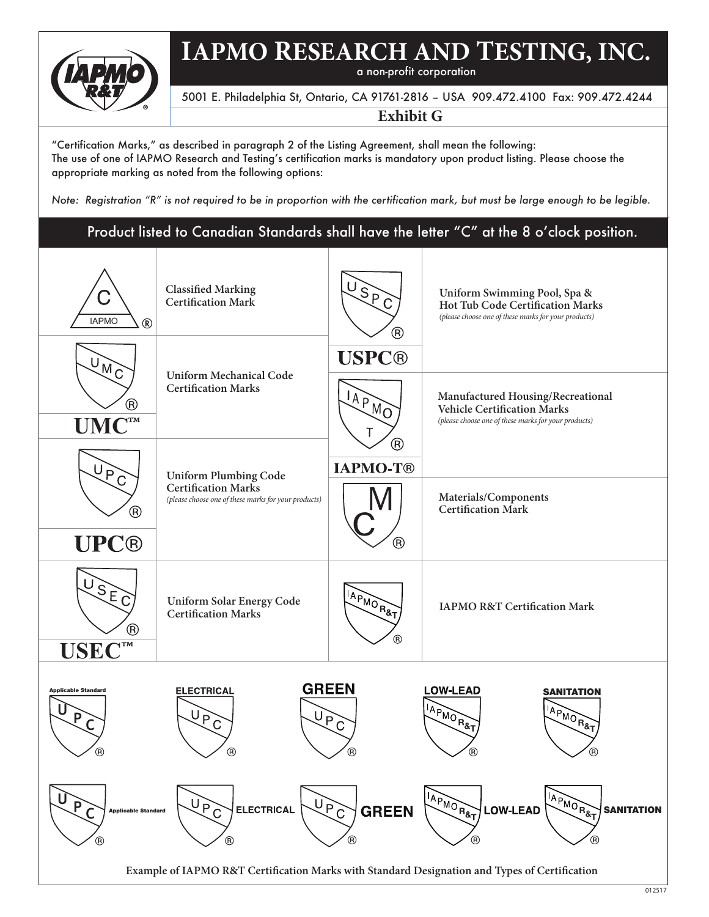

a non-profit corporation

# 5001 E. Philadelphia St, Ontario, CA 91761-2816 – USA 909.472.4100 Fax: 909.472.4244

# **Exhibit G**

"Certification Marks," as described in paragraph 2 of the Listing Agreement, shall mean the following: The use of one of IAPMO Research and Testing's certification marks is mandatory upon product listing. Please choose the appropriate marking as noted from the following options:

*Note: Registration "R" is not required to be in proportion with the certification mark, but must be large enough to be legible.*

# Product listed to Canadian Standards shall have the letter "C" at the 8 o'clock position.

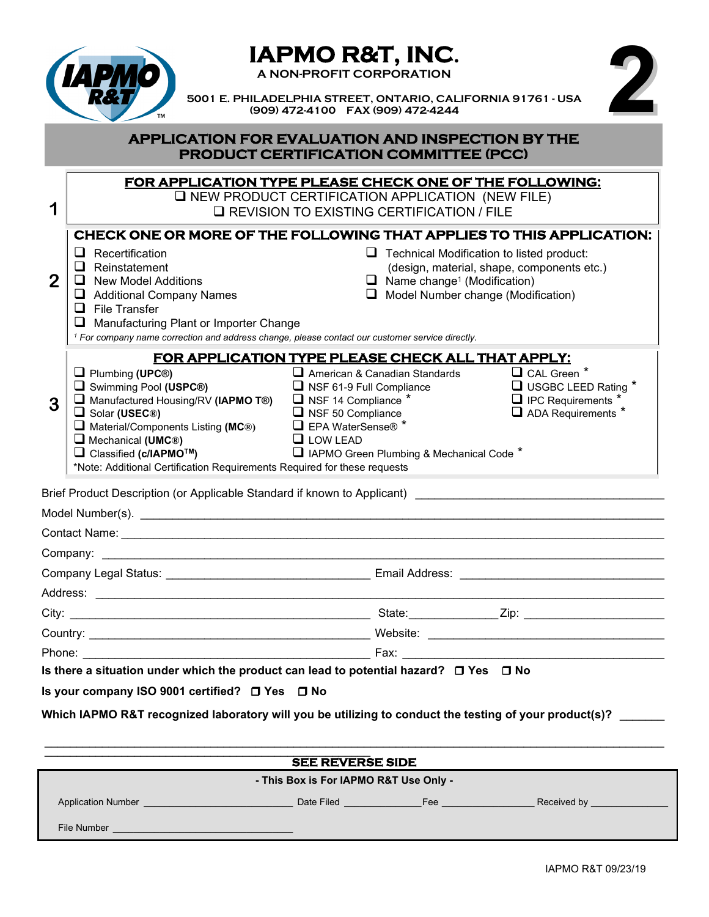

**1**

# **IAPMO R&T, INC. A NON-PROFIT CORPORATION**



 **5001 E. PHILADELPHIA STREET, ONTARIO, CALIFORNIA 91761 - USA (909) 472-4100 FAX (909) 472-4244**

# **APPLICATION FOR EVALUATION AND INSPECTION BY THE PRODUCT CERTIFICATION COMMITTEE (PCC)**

| FOR APPLICATION TYPE PLEASE CHECK ONE OF THE FOLLOWING:    |  |
|------------------------------------------------------------|--|
| $\square$ NEW PRODUCT CERTIFICATION APPLICATION (NEW FILE) |  |

**Q REVISION TO EXISTING CERTIFICATION / FILE** 

# **2 3**  Brief Product Description (or Applicable Standard if known to Applicant) Model Number(s). \_\_\_\_\_\_\_\_\_\_\_\_\_\_\_\_\_\_\_\_\_\_\_\_\_\_\_\_\_\_\_\_\_\_\_\_\_\_\_\_\_\_\_\_\_\_\_\_\_\_\_\_\_\_\_\_\_\_\_\_\_\_\_\_\_\_\_\_\_\_\_\_\_\_\_\_\_\_\_\_\_\_ Contact Name: **FOR APPLICATION TYPE PLEASE CHECK ALL THAT APPLY:** <table>\n<tbody>\n<tr>\n<td>□ Plumbing (UPC®)</td>\n<td>□ American &amp; Canadian Standards</td>\n<td>□ CAL Green \*<br/>□ Swimming Pool (USPC®)</td>\n<td>□ NSF 61-9 Full Compliance</td>\n<td>□ USCLEED Rating \*<br/>□ IPC Requirements \*<br/>□ Solar (USEC®)</td>\n<td>□ NSF 14 Compliance \*<br/>□ IPC Requirements \*<br/>□ IPC Requirements \*<br/>□ ADA Requirements Listing (MC®)</td>\n<td>□ EPA WaterSense® \*<br/>□ LOW LEAD</td>\n<td>□ ADA Requirements \*<br/>□ Classified (c/IAPMOTM)</td>\n<td>□ LOW LEAD</td>\n<td>□ APRO Green Plumbing &amp; Mechanical Code \*<br/>□ **Q** IAPMO Green Plumbing & Mechanical Code \* \*Note: Additional Certification Requirements Required for these requests **CHECK ONE OR MORE OF THE FOLLOWING THAT APPLIES TO THIS APPLICATION:**   $\Box$  Recertification  $\Box$  Recertification to listed product:<br>  $\Box$  Reinstatement (design, material, shape, components e (design, material, shape, components etc.)  $\Box$  New Model Additions  $\Box$  Name change<sup>1</sup> (Modification)  $\Box$  Additional Company Names  $\Box$  Model Number change (Modification)  $\Box$  File Transfer ■ Manufacturing Plant or Importer Change *<sup>1</sup> For company name correction and address change, please contact our customer service directly.*

| State: Zip: Zip: |
|------------------|
|                  |
|                  |

# **Is your company ISO 9001 certified? Yes No**

Which IAPMO R&T recognized laboratory will you be utilizing to conduct the testing of your product(s)?

|                                        | <b>SEE REVERSE SIDE</b>                                                                                                                                                                                                              |     |                                  |  |  |
|----------------------------------------|--------------------------------------------------------------------------------------------------------------------------------------------------------------------------------------------------------------------------------------|-----|----------------------------------|--|--|
| - This Box is For IAPMO R&T Use Only - |                                                                                                                                                                                                                                      |     |                                  |  |  |
| <b>Application Number</b>              | Date Filed <b>Date of Lines and The Contract Contract Contract Contract Contract Contract Contract Contract Contract Contract Contract Contract Contract Contract Contract Contract Contract Contract Contract Contract Contract</b> | Fee | Received by <b>Exercise 2018</b> |  |  |
| File Number                            |                                                                                                                                                                                                                                      |     |                                  |  |  |
|                                        |                                                                                                                                                                                                                                      |     |                                  |  |  |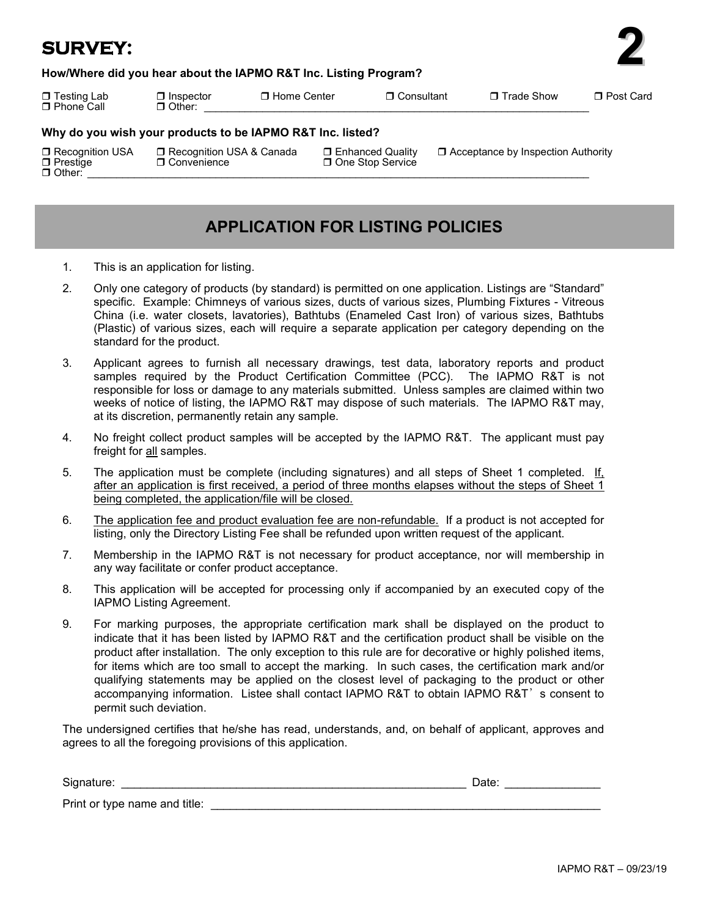# **SURVEY:**

# **How/Where did you hear about the IAPMO R&T Inc. Listing Program?**

 $\Box$  Phone Call  $\Box$  Other:

Testing Lab Inspector Home Center Consultant Trade Show Post Card

**2**

**Why do you wish your products to be IAPMO R&T Inc. listed?**

 Recognition USA Recognition USA & Canada Enhanced Quality Acceptance by Inspection Authority Prestige Convenience One Stop Service Other: \_\_\_\_\_\_\_\_\_\_\_\_\_\_\_\_\_\_\_\_\_\_\_\_\_\_\_\_\_\_\_\_\_\_\_\_\_\_\_\_\_\_\_\_\_\_\_\_\_\_\_\_\_\_\_\_\_\_\_\_\_\_\_\_\_\_\_\_\_\_\_\_\_\_\_\_\_\_\_\_\_\_\_\_\_\_

# **APPLICATION FOR LISTING POLICIES**

- 1. This is an application for listing.
- 2. Only one category of products (by standard) is permitted on one application. Listings are "Standard" specific. Example: Chimneys of various sizes, ducts of various sizes, Plumbing Fixtures - Vitreous China (i.e. water closets, lavatories), Bathtubs (Enameled Cast Iron) of various sizes, Bathtubs (Plastic) of various sizes, each will require a separate application per category depending on the standard for the product.
- 3. Applicant agrees to furnish all necessary drawings, test data, laboratory reports and product samples required by the Product Certification Committee (PCC). The IAPMO R&T is not responsible for loss or damage to any materials submitted. Unless samples are claimed within two weeks of notice of listing, the IAPMO R&T may dispose of such materials. The IAPMO R&T may, at its discretion, permanently retain any sample.
- 4. No freight collect product samples will be accepted by the IAPMO R&T. The applicant must pay freight for all samples.
- 5. The application must be complete (including signatures) and all steps of Sheet 1 completed. If, after an application is first received, a period of three months elapses without the steps of Sheet 1 being completed, the application/file will be closed.
- 6. The application fee and product evaluation fee are non-refundable. If a product is not accepted for listing, only the Directory Listing Fee shall be refunded upon written request of the applicant.
- 7. Membership in the IAPMO R&T is not necessary for product acceptance, nor will membership in any way facilitate or confer product acceptance.
- 8. This application will be accepted for processing only if accompanied by an executed copy of the IAPMO Listing Agreement.
- 9. For marking purposes, the appropriate certification mark shall be displayed on the product to indicate that it has been listed by IAPMO R&T and the certification product shall be visible on the product after installation. The only exception to this rule are for decorative or highly polished items, for items which are too small to accept the marking. In such cases, the certification mark and/or qualifying statements may be applied on the closest level of packaging to the product or other accompanying information. Listee shall contact IAPMO R&T to obtain IAPMO R&T's consent to permit such deviation.

The undersigned certifies that he/she has read, understands, and, on behalf of applicant, approves and agrees to all the foregoing provisions of this application.

| Signature:                    | Date: |  |
|-------------------------------|-------|--|
| Print or type name and title: |       |  |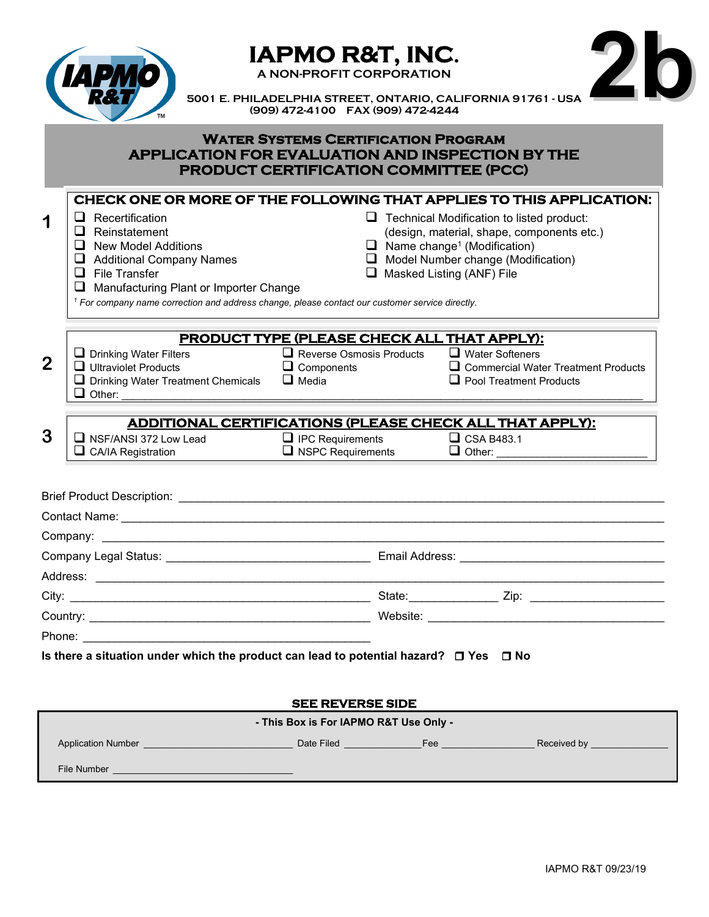| $\mathbf{p}$                |  |
|-----------------------------|--|
| <b>IZ</b><br>$\overline{1}$ |  |
| I,                          |  |
|                             |  |

**IAPMO R&T, INC.**<br>A NON-PROFIT CORPORATION



 **5001 E. PHILADELPHIA STREET, ONTARIO, CALIFORNIA 91761 - USA (909) 472-4100 FAX (909) 472-4244**

# **Water Systems Certification Program APPLICATION FOR EVALUATION AND INSPECTION BY THE PRODUCT CERTIFICATION COMMITTEE (PCC)**

|                | CHECK ONE OR MORE OF THE FOLLOWING THAT APPLIES TO THIS APPLICATION:                                                                                                                                                                 |                                                                                       |                                                                               |                                            |
|----------------|--------------------------------------------------------------------------------------------------------------------------------------------------------------------------------------------------------------------------------------|---------------------------------------------------------------------------------------|-------------------------------------------------------------------------------|--------------------------------------------|
| 1              | $\Box$ Recertification                                                                                                                                                                                                               |                                                                                       | $\Box$ Technical Modification to listed product:                              |                                            |
|                | $\Box$ Reinstatement                                                                                                                                                                                                                 |                                                                                       | (design, material, shape, components etc.)                                    |                                            |
|                | $\Box$ New Model Additions                                                                                                                                                                                                           |                                                                                       | $\Box$ Name change <sup>1</sup> (Modification)                                |                                            |
|                | Additional Company Names<br>$\Box$ File Transfer                                                                                                                                                                                     |                                                                                       | $\Box$ Model Number change (Modification)<br>$\Box$ Masked Listing (ANF) File |                                            |
|                | ❏<br>Manufacturing Plant or Importer Change                                                                                                                                                                                          |                                                                                       |                                                                               |                                            |
|                | <sup>1</sup> For company name correction and address change, please contact our customer service directly.                                                                                                                           |                                                                                       |                                                                               |                                            |
|                |                                                                                                                                                                                                                                      |                                                                                       |                                                                               |                                            |
|                | $\Box$ Drinking Water Filters                                                                                                                                                                                                        | <b>PRODUCT TYPE (PLEASE CHECK ALL THAT APPLY):</b><br>$\Box$ Reverse Osmosis Products | $\Box$ Water Softeners                                                        |                                            |
| $\overline{2}$ | $\Box$ Ultraviolet Products                                                                                                                                                                                                          | $\Box$ Components                                                                     |                                                                               | $\Box$ Commercial Water Treatment Products |
|                | $\Box$ Drinking Water Treatment Chemicals                                                                                                                                                                                            | $\Box$ Media                                                                          | $\Box$ Pool Treatment Products                                                |                                            |
|                |                                                                                                                                                                                                                                      |                                                                                       |                                                                               |                                            |
| 3              | ADDITIONAL CERTIFICATIONS (PLEASE CHECK ALL THAT APPLY):<br>$\Box$ NSF/ANSI 372 Low Lead                                                                                                                                             | $\Box$ IPC Requirements                                                               | $\Box$ CSA B483.1                                                             |                                            |
|                | $\Box$ CA/IA Registration                                                                                                                                                                                                            | $\Box$ NSPC Requirements                                                              | $\Box$ Other:                                                                 |                                            |
|                |                                                                                                                                                                                                                                      |                                                                                       |                                                                               |                                            |
|                |                                                                                                                                                                                                                                      |                                                                                       |                                                                               |                                            |
|                |                                                                                                                                                                                                                                      |                                                                                       |                                                                               |                                            |
|                |                                                                                                                                                                                                                                      |                                                                                       |                                                                               |                                            |
|                |                                                                                                                                                                                                                                      |                                                                                       |                                                                               |                                            |
|                |                                                                                                                                                                                                                                      |                                                                                       |                                                                               |                                            |
|                | Is there a situation under which the product can lead to potential hazard? $\Box$ Yes $\Box$ No                                                                                                                                      |                                                                                       |                                                                               |                                            |
|                |                                                                                                                                                                                                                                      |                                                                                       |                                                                               |                                            |
|                |                                                                                                                                                                                                                                      | <b>SEE REVERSE SIDE</b>                                                               |                                                                               |                                            |
|                |                                                                                                                                                                                                                                      | - This Box is For IAPMO R&T Use Only -                                                |                                                                               |                                            |
|                | Application Number <b>Contract Contract Contract Contract Contract Contract Contract Contract Contract Contract Contract Contract Contract Contract Contract Contract Contract Contract Contract Contract Contract Contract Cont</b> |                                                                                       |                                                                               |                                            |

File Number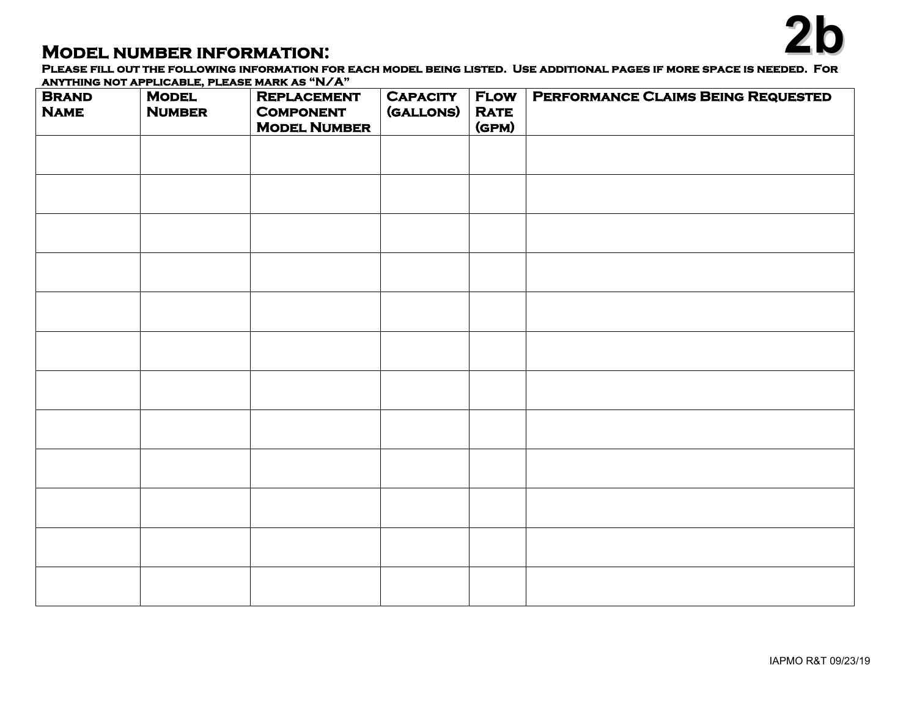**MODEL NUMBER INFORMATION:**<br>Please fill out the following information for each model being listed. Use additional pages if more space is needed. For **anything not applicable, please mark as "N/A"** 

| <b>BRAND</b><br><b>NAME</b> | ANTITURE NOT ALL EIGADES, I EEASE MARK AS TWA<br><b>MODEL</b><br><b>NUMBER</b> | <b>REPLACEMENT</b><br><b>COMPONENT</b><br><b>MODEL NUMBER</b> | <b>CAPACITY</b><br>(GALLONS) | <b>FLOW</b><br><b>RATE</b><br>(GPM) | <b>PERFORMANCE CLAIMS BEING REQUESTED</b> |
|-----------------------------|--------------------------------------------------------------------------------|---------------------------------------------------------------|------------------------------|-------------------------------------|-------------------------------------------|
|                             |                                                                                |                                                               |                              |                                     |                                           |
|                             |                                                                                |                                                               |                              |                                     |                                           |
|                             |                                                                                |                                                               |                              |                                     |                                           |
|                             |                                                                                |                                                               |                              |                                     |                                           |
|                             |                                                                                |                                                               |                              |                                     |                                           |
|                             |                                                                                |                                                               |                              |                                     |                                           |
|                             |                                                                                |                                                               |                              |                                     |                                           |
|                             |                                                                                |                                                               |                              |                                     |                                           |
|                             |                                                                                |                                                               |                              |                                     |                                           |
|                             |                                                                                |                                                               |                              |                                     |                                           |
|                             |                                                                                |                                                               |                              |                                     |                                           |
|                             |                                                                                |                                                               |                              |                                     |                                           |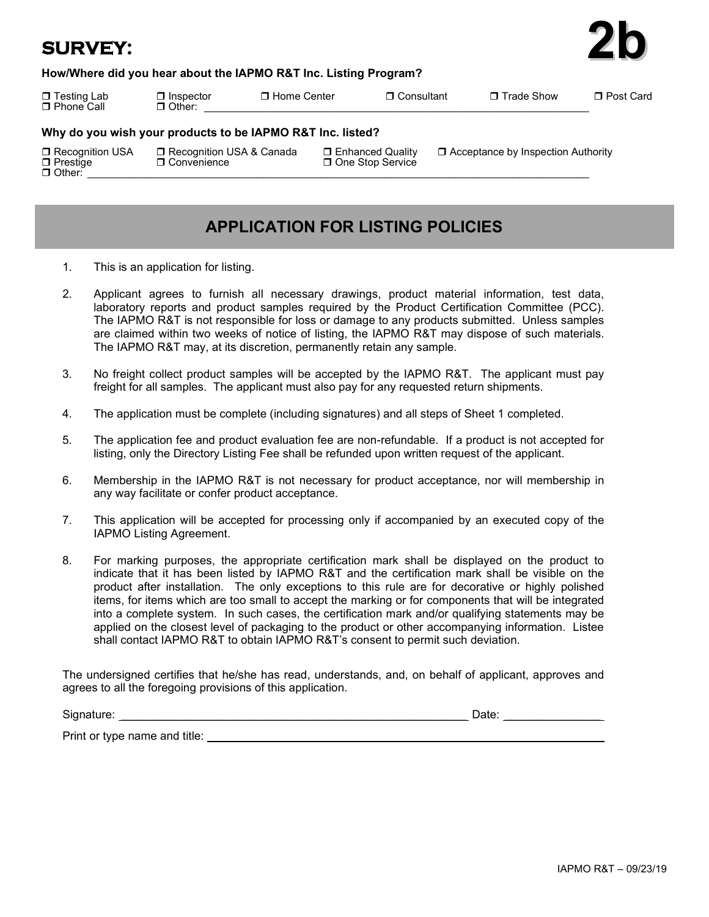# **SURVEY:**



 Testing Lab Inspector Home Center Consultant Trade Show Post Card  $\Box$  Phone Call  $\Box$  Other: **Why do you wish your products to be IAPMO R&T Inc. listed?** Recognition USA Recognition USA & Canada Enhanced Quality Acceptance by Inspection Authority Prestige Convenience One Stop Service

Other: \_\_\_\_\_\_\_\_\_\_\_\_\_\_\_\_\_\_\_\_\_\_\_\_\_\_\_\_\_\_\_\_\_\_\_\_\_\_\_\_\_\_\_\_\_\_\_\_\_\_\_\_\_\_\_\_\_\_\_\_\_\_\_\_\_\_\_\_\_\_\_\_\_\_\_\_\_\_\_\_\_\_\_\_\_\_

# **APPLICATION FOR LISTING POLICIES**

- 1. This is an application for listing.
- 2. Applicant agrees to furnish all necessary drawings, product material information, test data, laboratory reports and product samples required by the Product Certification Committee (PCC). The IAPMO R&T is not responsible for loss or damage to any products submitted. Unless samples are claimed within two weeks of notice of listing, the IAPMO R&T may dispose of such materials. The IAPMO R&T may, at its discretion, permanently retain any sample.
- 3. No freight collect product samples will be accepted by the IAPMO R&T. The applicant must pay freight for all samples. The applicant must also pay for any requested return shipments.
- 4. The application must be complete (including signatures) and all steps of Sheet 1 completed.
- 5. The application fee and product evaluation fee are non-refundable. If a product is not accepted for listing, only the Directory Listing Fee shall be refunded upon written request of the applicant.
- 6. Membership in the IAPMO R&T is not necessary for product acceptance, nor will membership in any way facilitate or confer product acceptance.
- 7. This application will be accepted for processing only if accompanied by an executed copy of the IAPMO Listing Agreement.
- 8. For marking purposes, the appropriate certification mark shall be displayed on the product to indicate that it has been listed by IAPMO R&T and the certification mark shall be visible on the product after installation. The only exceptions to this rule are for decorative or highly polished items, for items which are too small to accept the marking or for components that will be integrated into a complete system. In such cases, the certification mark and/or qualifying statements may be applied on the closest level of packaging to the product or other accompanying information. Listee shall contact IAPMO R&T to obtain IAPMO R&T's consent to permit such deviation.

The undersigned certifies that he/she has read, understands, and, on behalf of applicant, approves and agrees to all the foregoing provisions of this application.

| Signature:                    | Date: |
|-------------------------------|-------|
| Print or type name and title: |       |

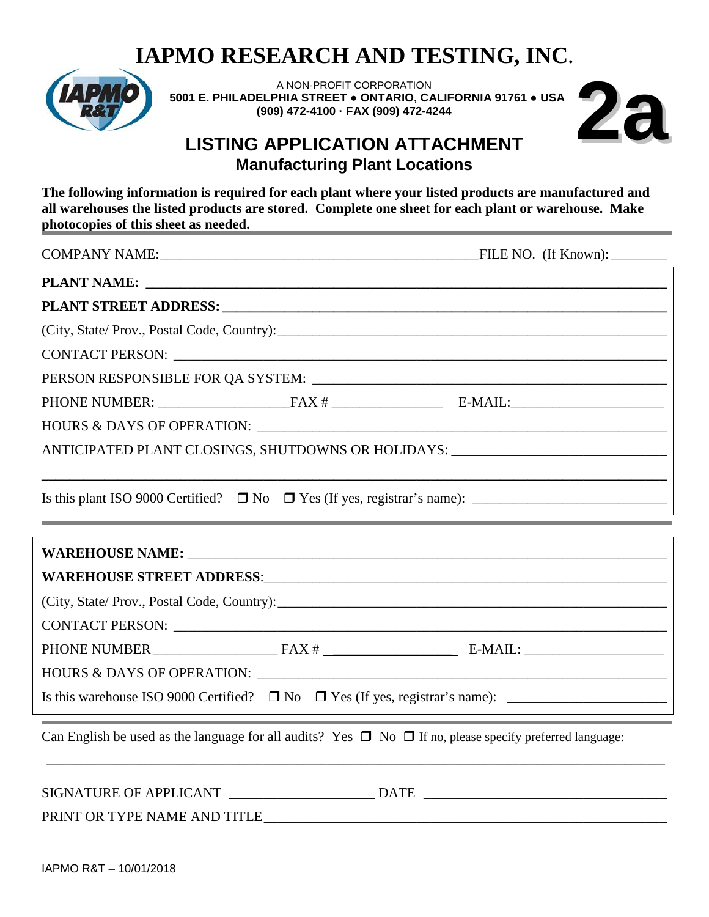

A NON-PROFIT CORPORATION  **5001 E. PHILADELPHIA STREET ● ONTARIO, CALIFORNIA 91761 ● USA (909) 472-4100 · FAX (909) 472-4244**



# **LISTING APPLICATION ATTACHMENT Manufacturing Plant Locations**

**The following information is required for each plant where your listed products are manufactured and all warehouses the listed products are stored. Complete one sheet for each plant or warehouse. Make photocopies of this sheet as needed.**

| (City, State/ Prov., Postal Code, Country):                                      |  |
|----------------------------------------------------------------------------------|--|
|                                                                                  |  |
|                                                                                  |  |
|                                                                                  |  |
|                                                                                  |  |
| ANTICIPATED PLANT CLOSINGS, SHUTDOWNS OR HOLIDAYS: _____________________________ |  |
|                                                                                  |  |
|                                                                                  |  |

| (City, State/ Prov., Postal Code, Country): 2008. [2010] [2010] [2010] [2010] [2010] [2010] [2010] [2010] [2010] [2010] [2010] [2010] [2010] [2010] [2010] [2010] [2010] [2010] [2010] [2010] [2010] [2010] [2010] [2010] [201 |                                                                                           |
|--------------------------------------------------------------------------------------------------------------------------------------------------------------------------------------------------------------------------------|-------------------------------------------------------------------------------------------|
|                                                                                                                                                                                                                                |                                                                                           |
| PHONE NUMBER $\_\_\_\_\_\_\_\_\$ FAX # $\_\_\_\_\_\_\_\_\_\_\_\_\_\_\_\_\_\_$ E-MAIL: $\_\_\_\_\_\_\_\_\_\_\_\_\_\_\_\_$                                                                                                       |                                                                                           |
|                                                                                                                                                                                                                                |                                                                                           |
|                                                                                                                                                                                                                                |                                                                                           |
| $\alpha$ put i i i i $\alpha$ i to $\alpha$ for $\blacksquare$ and $\blacksquare$ are $\alpha$ in the $\alpha$ in the $\alpha$                                                                                                 | the control of the control of the control of the control of the control of the control of |

Can English be used as the language for all audits? Yes  $\Box$  No  $\Box$  If no, please specify preferred language:

| SIGNATURE OF APPLICANT       | <b>DATE</b> |
|------------------------------|-------------|
| PRINT OR TYPE NAME AND TITLE |             |

\_\_\_\_\_\_\_\_\_\_\_\_\_\_\_\_\_\_\_\_\_\_\_\_\_\_\_\_\_\_\_\_\_\_\_\_\_\_\_\_\_\_\_\_\_\_\_\_\_\_\_\_\_\_\_\_\_\_\_\_\_\_\_\_\_\_\_\_\_\_\_\_\_\_\_\_\_\_\_\_\_\_\_\_\_\_\_\_\_\_\_\_\_\_\_\_\_\_\_\_\_\_\_\_\_\_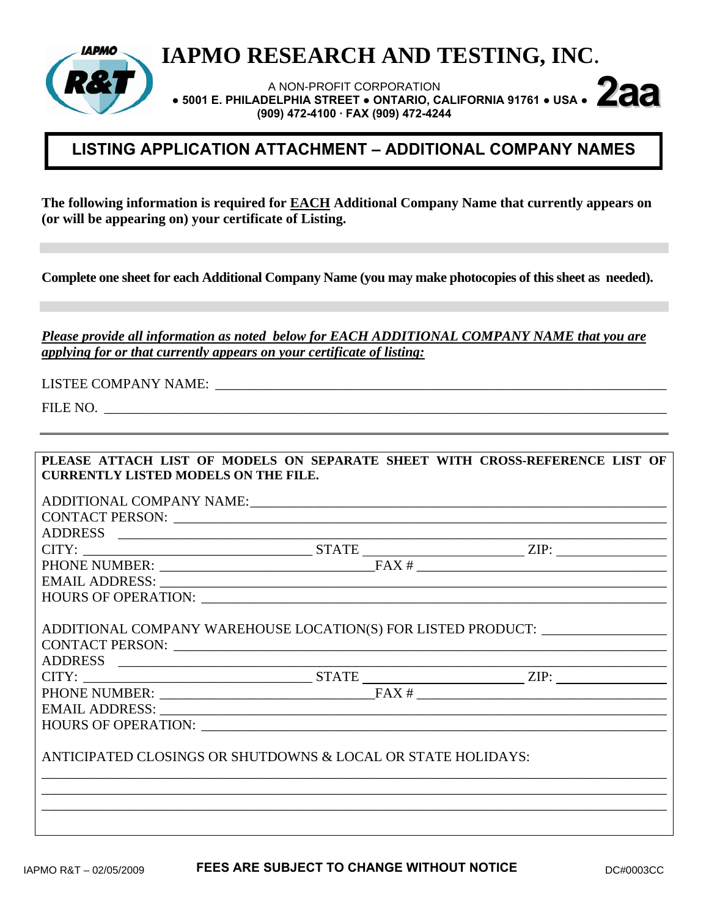

A NON-PROFIT CORPORATION  **● 5001 E. PHILADELPHIA STREET ● ONTARIO, CALIFORNIA 91761 ● USA ● 2aa (909) 472-4100 · FAX (909) 472-4244** 

# **LISTING APPLICATION ATTACHMENT – ADDITIONAL COMPANY NAMES**

**The following information is required for EACH Additional Company Name that currently appears on (or will be appearing on) your certificate of Listing.** 

**Complete one sheet for each Additional Company Name (you may make photocopies of this sheet as needed).** 

*Please provide all information as noted below for EACH ADDITIONAL COMPANY NAME that you are applying for or that currently appears on your certificate of listing:*

LISTEE COMPANY NAME: \_\_\_\_\_\_\_\_\_\_\_\_\_\_\_\_\_\_\_\_\_\_\_\_\_\_\_\_\_\_\_\_\_\_\_\_\_\_\_\_\_\_\_\_\_\_\_\_\_\_\_\_\_\_\_\_\_\_\_\_\_\_\_\_\_

FILE NO.

| PLEASE ATTACH LIST OF MODELS ON SEPARATE SHEET WITH CROSS-REFERENCE LIST OF                                                                                                                                                   |  |  |
|-------------------------------------------------------------------------------------------------------------------------------------------------------------------------------------------------------------------------------|--|--|
| <b>CURRENTLY LISTED MODELS ON THE FILE.</b>                                                                                                                                                                                   |  |  |
|                                                                                                                                                                                                                               |  |  |
|                                                                                                                                                                                                                               |  |  |
|                                                                                                                                                                                                                               |  |  |
|                                                                                                                                                                                                                               |  |  |
|                                                                                                                                                                                                                               |  |  |
| $CITY:$ $ZIP:$ $ZIP:$ $TANE:$ $TAN#$ $ZIP:$                                                                                                                                                                                   |  |  |
| EMAIL ADDRESS: University of the Second Second Second Second Second Second Second Second Second Second Second Second Second Second Second Second Second Second Second Second Second Second Second Second Second Second Second |  |  |
|                                                                                                                                                                                                                               |  |  |
|                                                                                                                                                                                                                               |  |  |
| ADDITIONAL COMPANY WAREHOUSE LOCATION(S) FOR LISTED PRODUCT: ___________________                                                                                                                                              |  |  |
|                                                                                                                                                                                                                               |  |  |
|                                                                                                                                                                                                                               |  |  |
|                                                                                                                                                                                                                               |  |  |
| $CITY:$ $ZIP:$ $ZIP:$ $ZIP:$ $ZIP:$                                                                                                                                                                                           |  |  |
|                                                                                                                                                                                                                               |  |  |
|                                                                                                                                                                                                                               |  |  |
|                                                                                                                                                                                                                               |  |  |
| ANTICIPATED CLOSINGS OR SHUTDOWNS & LOCAL OR STATE HOLIDAYS:                                                                                                                                                                  |  |  |
|                                                                                                                                                                                                                               |  |  |
|                                                                                                                                                                                                                               |  |  |
|                                                                                                                                                                                                                               |  |  |
|                                                                                                                                                                                                                               |  |  |
|                                                                                                                                                                                                                               |  |  |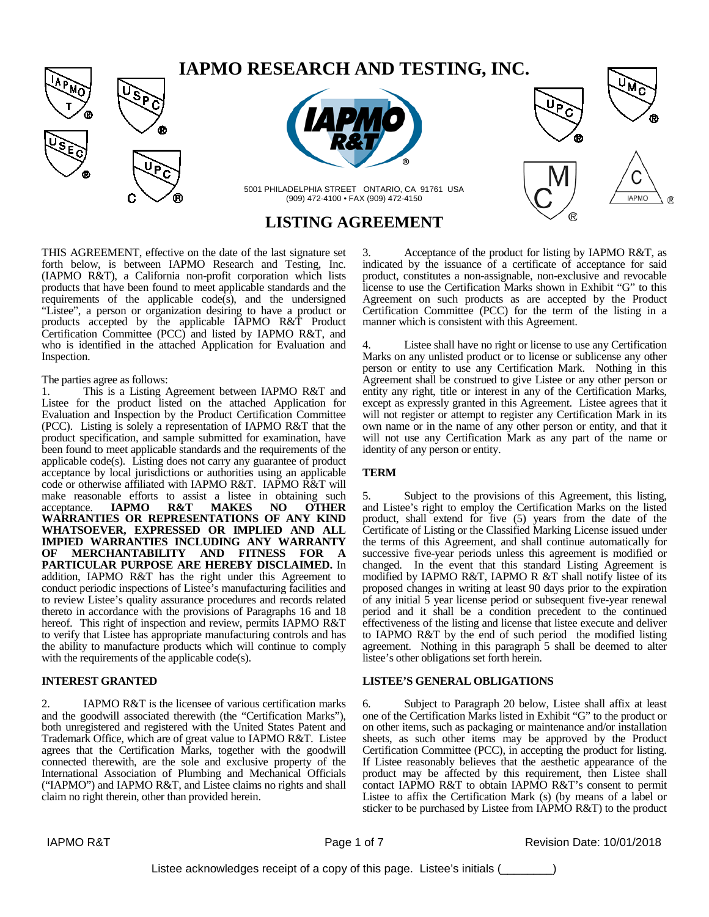



5001 PHILADELPHIA STREET ONTARIO, CA 91761 USA (909) 472-4100 • FAX (909) 472-4150

# **LISTING AGREEMENT**

THIS AGREEMENT, effective on the date of the last signature set forth below, is between IAPMO Research and Testing, Inc. (IAPMO R&T), a California non-profit corporation which lists products that have been found to meet applicable standards and the requirements of the applicable code(s), and the undersigned "Listee", a person or organization desiring to have a product or products accepted by the applicable IAPMO R&T Product Certification Committee (PCC) and listed by IAPMO R&T, and who is identified in the attached Application for Evaluation and Inspection.

#### The parties agree as follows:

1. This is a Listing Agreement between IAPMO R&T and Listee for the product listed on the attached Application for Evaluation and Inspection by the Product Certification Committee (PCC). Listing is solely a representation of IAPMO R&T that the product specification, and sample submitted for examination, have been found to meet applicable standards and the requirements of the applicable code(s). Listing does not carry any guarantee of product acceptance by local jurisdictions or authorities using an applicable code or otherwise affiliated with IAPMO R&T. IAPMO R&T will make reasonable efforts to assist a listee in obtaining such acceptance. **IAPMO R&T MAKES NO OTHER** acceptance. **IAPMO R&T MAKES NO OTHER WARRANTIES OR REPRESENTATIONS OF ANY KIND WHATSOEVER, EXPRESSED OR IMPLIED AND ALL IMPIED WARRANTIES INCLUDING ANY WARRANTY OF MERCHANTABILITY AND FITNESS FOR A PARTICULAR PURPOSE ARE HEREBY DISCLAIMED.** In addition, IAPMO R&T has the right under this Agreement to conduct periodic inspections of Listee's manufacturing facilities and to review Listee's quality assurance procedures and records related thereto in accordance with the provisions of Paragraphs 16 and 18 hereof. This right of inspection and review, permits IAPMO R&T to verify that Listee has appropriate manufacturing controls and has the ability to manufacture products which will continue to comply with the requirements of the applicable code(s).

### **INTEREST GRANTED**

2. IAPMO R&T is the licensee of various certification marks and the goodwill associated therewith (the "Certification Marks"), both unregistered and registered with the United States Patent and Trademark Office, which are of great value to IAPMO R&T. Listee agrees that the Certification Marks, together with the goodwill connected therewith, are the sole and exclusive property of the International Association of Plumbing and Mechanical Officials ("IAPMO") and IAPMO R&T, and Listee claims no rights and shall claim no right therein, other than provided herein.

3. Acceptance of the product for listing by IAPMO R&T, as indicated by the issuance of a certificate of acceptance for said product, constitutes a non-assignable, non-exclusive and revocable license to use the Certification Marks shown in Exhibit "G" to this Agreement on such products as are accepted by the Product Certification Committee (PCC) for the term of the listing in a manner which is consistent with this Agreement.

**IAPMO** 

Listee shall have no right or license to use any Certification Marks on any unlisted product or to license or sublicense any other person or entity to use any Certification Mark. Nothing in this Agreement shall be construed to give Listee or any other person or entity any right, title or interest in any of the Certification Marks, except as expressly granted in this Agreement. Listee agrees that it will not register or attempt to register any Certification Mark in its own name or in the name of any other person or entity, and that it will not use any Certification Mark as any part of the name or identity of any person or entity.

### **TERM**

5. Subject to the provisions of this Agreement, this listing, and Listee's right to employ the Certification Marks on the listed product, shall extend for five (5) years from the date of the Certificate of Listing or the Classified Marking License issued under the terms of this Agreement, and shall continue automatically for successive five-year periods unless this agreement is modified or changed. In the event that this standard Listing Agreement is modified by IAPMO R&T, IAPMO R &T shall notify listee of its proposed changes in writing at least 90 days prior to the expiration of any initial 5 year license period or subsequent five-year renewal period and it shall be a condition precedent to the continued effectiveness of the listing and license that listee execute and deliver to IAPMO R&T by the end of such period the modified listing agreement. Nothing in this paragraph 5 shall be deemed to alter listee's other obligations set forth herein.

### **LISTEE'S GENERAL OBLIGATIONS**

6. Subject to Paragraph 20 below, Listee shall affix at least one of the Certification Marks listed in Exhibit "G" to the product or on other items, such as packaging or maintenance and/or installation sheets, as such other items may be approved by the Product Certification Committee (PCC), in accepting the product for listing. If Listee reasonably believes that the aesthetic appearance of the product may be affected by this requirement, then Listee shall contact IAPMO R&T to obtain IAPMO R&T's consent to permit Listee to affix the Certification Mark (s) (by means of a label or sticker to be purchased by Listee from IAPMO R&T) to the product

IAPMO R&T **Page 1 of 7** Revision Date: 10/01/2018

Listee acknowledges receipt of a copy of this page. Listee's initials (\_\_\_\_\_\_\_\_)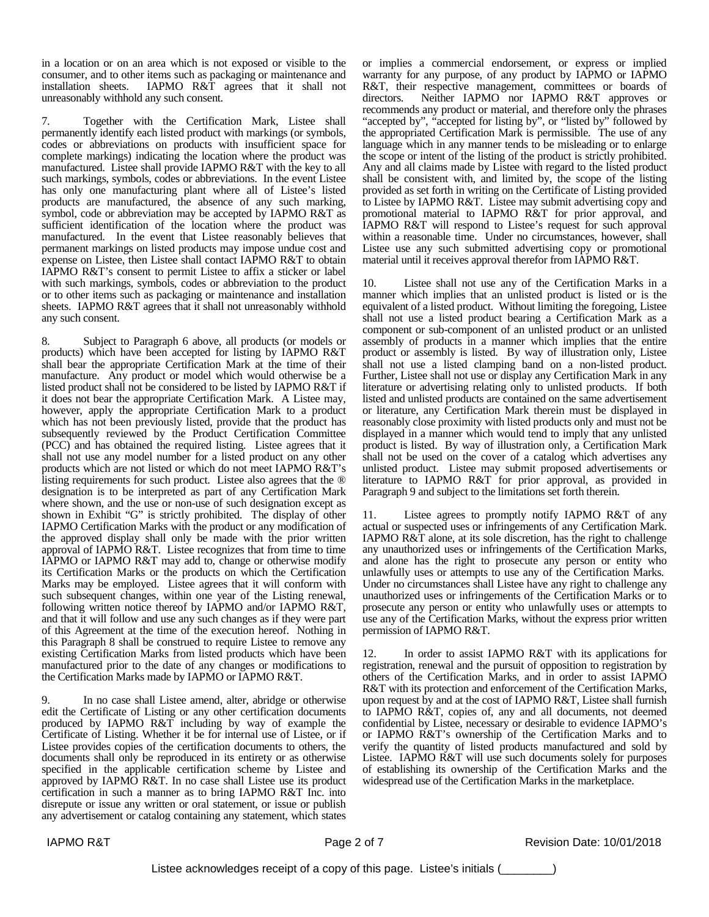in a location or on an area which is not exposed or visible to the consumer, and to other items such as packaging or maintenance and installation sheets. IAPMO R&T agrees that it shall not unreasonably withhold any such consent.

7. Together with the Certification Mark, Listee shall permanently identify each listed product with markings (or symbols, codes or abbreviations on products with insufficient space for complete markings) indicating the location where the product was manufactured. Listee shall provide IAPMO R&T with the key to all such markings, symbols, codes or abbreviations. In the event Listee has only one manufacturing plant where all of Listee's listed products are manufactured, the absence of any such marking, symbol, code or abbreviation may be accepted by IAPMO R&T as sufficient identification of the location where the product was manufactured. In the event that Listee reasonably believes that permanent markings on listed products may impose undue cost and expense on Listee, then Listee shall contact IAPMO R&T to obtain IAPMO R&T's consent to permit Listee to affix a sticker or label with such markings, symbols, codes or abbreviation to the product or to other items such as packaging or maintenance and installation sheets. IAPMO R&T agrees that it shall not unreasonably withhold any such consent.

Subject to Paragraph 6 above, all products (or models or products) which have been accepted for listing by IAPMO R&T shall bear the appropriate Certification Mark at the time of their manufacture. Any product or model which would otherwise be a listed product shall not be considered to be listed by IAPMO R&T if it does not bear the appropriate Certification Mark. A Listee may, however, apply the appropriate Certification Mark to a product which has not been previously listed, provide that the product has subsequently reviewed by the Product Certification Committee (PCC) and has obtained the required listing. Listee agrees that it shall not use any model number for a listed product on any other products which are not listed or which do not meet IAPMO R&T's listing requirements for such product. Listee also agrees that the ® designation is to be interpreted as part of any Certification Mark where shown, and the use or non-use of such designation except as shown in Exhibit "G" is strictly prohibited. The display of other IAPMO Certification Marks with the product or any modification of the approved display shall only be made with the prior written approval of IAPMO R&T. Listee recognizes that from time to time IAPMO or IAPMO R&T may add to, change or otherwise modify its Certification Marks or the products on which the Certification Marks may be employed. Listee agrees that it will conform with such subsequent changes, within one year of the Listing renewal, following written notice thereof by IAPMO and/or IAPMO R&T, and that it will follow and use any such changes as if they were part of this Agreement at the time of the execution hereof. Nothing in this Paragraph 8 shall be construed to require Listee to remove any existing Certification Marks from listed products which have been manufactured prior to the date of any changes or modifications to the Certification Marks made by IAPMO or IAPMO R&T.

In no case shall Listee amend, alter, abridge or otherwise edit the Certificate of Listing or any other certification documents produced by IAPMO R&T including by way of example the Certificate of Listing. Whether it be for internal use of Listee, or if Listee provides copies of the certification documents to others, the documents shall only be reproduced in its entirety or as otherwise specified in the applicable certification scheme by Listee and approved by IAPMO R&T. In no case shall Listee use its product certification in such a manner as to bring IAPMO R&T Inc. into disrepute or issue any written or oral statement, or issue or publish any advertisement or catalog containing any statement, which states

or implies a commercial endorsement, or express or implied warranty for any purpose, of any product by IAPMO or IAPMO R&T, their respective management, committees or boards of directors. Neither IAPMO nor IAPMO R&T approves or recommends any product or material, and therefore only the phrases "accepted by", "accepted for listing by", or "listed by" followed by the appropriated Certification Mark is permissible. The use of any language which in any manner tends to be misleading or to enlarge the scope or intent of the listing of the product is strictly prohibited. Any and all claims made by Listee with regard to the listed product shall be consistent with, and limited by, the scope of the listing provided as set forth in writing on the Certificate of Listing provided to Listee by IAPMO R&T. Listee may submit advertising copy and promotional material to IAPMO R&T for prior approval, and IAPMO R&T will respond to Listee's request for such approval within a reasonable time. Under no circumstances, however, shall Listee use any such submitted advertising copy or promotional material until it receives approval therefor from IAPMO R&T.

10. Listee shall not use any of the Certification Marks in a manner which implies that an unlisted product is listed or is the equivalent of a listed product. Without limiting the foregoing, Listee shall not use a listed product bearing a Certification Mark as a component or sub-component of an unlisted product or an unlisted assembly of products in a manner which implies that the entire product or assembly is listed. By way of illustration only, Listee shall not use a listed clamping band on a non-listed product. Further, Listee shall not use or display any Certification Mark in any literature or advertising relating only to unlisted products. If both listed and unlisted products are contained on the same advertisement or literature, any Certification Mark therein must be displayed in reasonably close proximity with listed products only and must not be displayed in a manner which would tend to imply that any unlisted product is listed. By way of illustration only, a Certification Mark shall not be used on the cover of a catalog which advertises any unlisted product. Listee may submit proposed advertisements or literature to IAPMO R&T for prior approval, as provided in Paragraph 9 and subject to the limitations set forth therein.

11. Listee agrees to promptly notify IAPMO R&T of any actual or suspected uses or infringements of any Certification Mark. IAPMO R&T alone, at its sole discretion, has the right to challenge any unauthorized uses or infringements of the Certification Marks, and alone has the right to prosecute any person or entity who unlawfully uses or attempts to use any of the Certification Marks. Under no circumstances shall Listee have any right to challenge any unauthorized uses or infringements of the Certification Marks or to prosecute any person or entity who unlawfully uses or attempts to use any of the Certification Marks, without the express prior written permission of IAPMO R&T.

12. In order to assist IAPMO R&T with its applications for registration, renewal and the pursuit of opposition to registration by others of the Certification Marks, and in order to assist IAPMO R&T with its protection and enforcement of the Certification Marks, upon request by and at the cost of IAPMO R&T, Listee shall furnish to IAPMO R&T, copies of, any and all documents, not deemed confidential by Listee, necessary or desirable to evidence IAPMO's or IAPMO R&T's ownership of the Certification Marks and to verify the quantity of listed products manufactured and sold by Listee. IAPMO R&T will use such documents solely for purposes of establishing its ownership of the Certification Marks and the widespread use of the Certification Marks in the marketplace.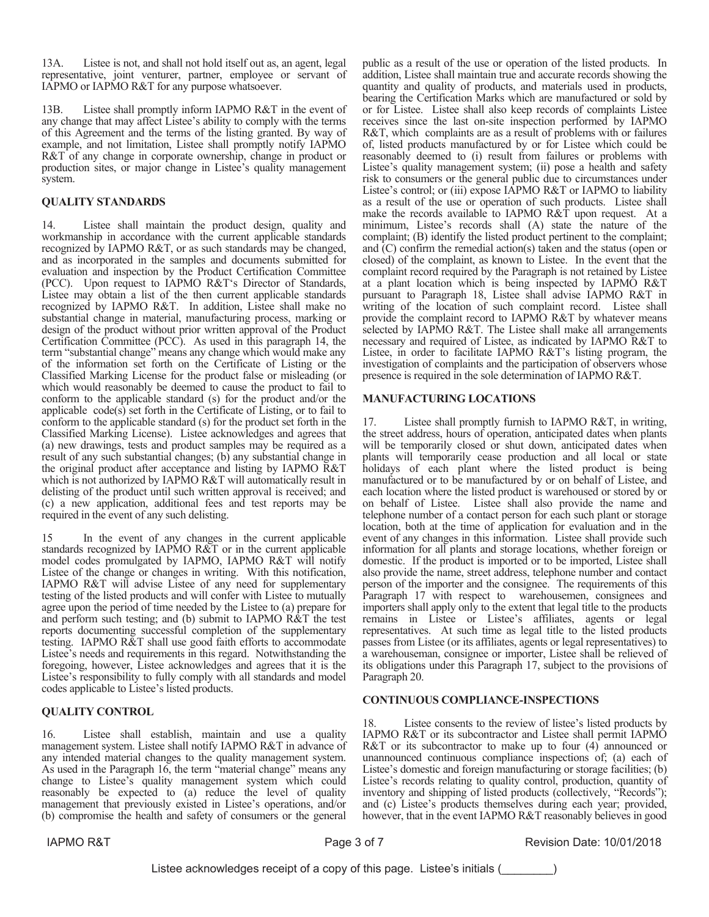13A. Listee is not, and shall not hold itself out as, an agent, legal representative, joint venturer, partner, employee or servant of IAPMO or IAPMO R&T for any purpose whatsoever.

13B. Listee shall promptly inform IAPMO R&T in the event of any change that may affect Listee's ability to comply with the terms of this Agreement and the terms of the listing granted. By way of example, and not limitation, Listee shall promptly notify IAPMO  $R&T$  of any change in corporate ownership, change in product or production sites, or major change in Listee's quality management system.

## **QUALITY STANDARDS**

14. Listee shall maintain the product design, quality and workmanship in accordance with the current applicable standards recognized by IAPMO R&T, or as such standards may be changed, and as incorporated in the samples and documents submitted for evaluation and inspection by the Product Certification Committee (PCC). Upon request to IAPMO R&T's Director of Standards, Listee may obtain a list of the then current applicable standards recognized by IAPMO R&T. In addition, Listee shall make no substantial change in material, manufacturing process, marking or design of the product without prior written approval of the Product Certification Committee (PCC). As used in this paragraph 14, the term "substantial change" means any change which would make any of the information set forth on the Certificate of Listing or the Classified Marking License for the product false or misleading (or which would reasonably be deemed to cause the product to fail to conform to the applicable standard (s) for the product and/or the applicable  $code(s)$  set forth in the Certificate of Listing, or to fail to conform to the applicable standard  $(s)$  for the product set forth in the Classified Marking License). Listee acknowledges and agrees that (a) new drawings, tests and product samples may be required as a result of any such substantial changes; (b) any substantial change in the original product after acceptance and listing by IAPMO  $R&T$ which is not authorized by IAPMO R&T will automatically result in delisting of the product until such written approval is received; and (c) a new application, additional fees and test reports may be required in the event of any such delisting.

15 In the event of any changes in the current applicable standards recognized by IAPMO R&T or in the current applicable model codes promulgated by IAPMO, IAPMO R&T will notify Listee of the change or changes in writing. With this notification, LAPMO R&T will advise Listee of any need for supplementary testing of the listed products and will confer with Listee to mutually agree upon the period of time needed by the Listee to (a) prepare for and perform such testing; and (b) submit to IAPMO  $R\&T$  the test reports documenting successful completion of the supplementary testing. IAPMO R&T shall use good faith efforts to accommodate Listee's needs and requirements in this regard. Notwithstanding the foregoing, however, Listee acknowledges and agrees that it is the Listee's responsibility to fully comply with all standards and model codes applicable to Listee's listed products.

### **QUALITY CONTROL**

16. Listee shall establish, maintain and use a quality management system. Listee shall notify IAPMO R&T in advance of any intended material changes to the quality management system.<br>As used in the Paragraph 16, the term "material change" means any change to Listee's quality management system which could reasonably be expected to (a) reduce the level of quality management that previously existed in Listee's operations, and/or (b) compromise the health and safety of consumers or the general

public as a result of the use or operation of the listed products. In addition, Listee shall maintain true and accurate records showing the quantity and quality of products, and materials used in products, bearing the Certification Marks which are manufactured or sold by or for Listee. Listee shall also keep records of complaints Listee receives since the last on-site inspection performed by IAPMO R&T, which complaints are as a result of problems with or failures of, listed products manufactured by or for Listee which could be reasonably deemed to (i) result from failures or problems with Listee's quality management system; (ii) pose a health and safety risk to consumers or the general public due to circumstances under Listee's control; or (iii) expose IAPMO R&T or IAPMO to liability as a result of the use or operation of such products. Listee shall make the records available to IAPMO R&T upon request. At a minimum, Listee's records shall (A) state the nature of the complaint; (B) identify the listed product pertinent to the complaint; and  $\tilde{C}$  confirm the remedial action(s) taken and the status (open or closed) of the complaint, as known to Listee. In the event that the complaint record required by the Paragraph is not retained by Listee at a plant location which is being inspected by IAPMO  $R&T$ pursuant to Paragraph 18, Listee shall advise IAPMO R&T in writing of the location of such complaint record. Listee shall provide the complaint record to IAPMO R&T by whatever means selected by IAPMO R&T. The Listee shall make all arrangements necessary and required of Listee, as indicated by IAPMO R&T to Listee, in order to facilitate IAPMO R&T's listing program, the investigation of complaints and the participation of observers whose presence is required in the sole determination of IAPMO R&T.

### **MANUFACTURING LOCATIONS**

17. Listee shall promptly furnish to IAPMO R&T, in writing, the street address, hours of operation, anticipated dates when plants will be temporarily closed or shut down, anticipated dates when plants will temporarily cease production and all local or state holidays of each plant where the listed product is being manufactured or to be manufactured by or on behalf of Listee, and each location where the listed product is warehoused or stored by or on behalf of Listee. Listee shall also provide the name and telephone number of a contact person for each such plant or storage location, both at the time of application for evaluation and in the event of any changes in this information. Listee shall provide such information for all plants and storage locations, whether foreign or domestic. If the product is imported or to be imported, Listee shall also provide the name, street address, telephone number and contact person of the importer and the consignee. The requirements of this Paragraph 17 with respect to warehousemen, consignees and importers shall apply only to the extent that legal title to the products remains in Listee or Listee's affiliates, agents or legal representatives. At such time as legal title to the listed products passes from Listee (or its affiliates, agents or legal representatives) to a warehouseman, consignee or importer, Listee shall be relieved of its obligations under this Paragraph 17, subject to the provisions of Paragraph 20.

### **CONTINUOUS COMPLIANCE-INSPECTIONS**

18. Listee consents to the review of listee's listed products by IAPMO R&T or its subcontractor and Listee shall permit IAPMO R&T or its subcontractor to make up to four  $(4)$  announced or unannounced continuous compliance inspections of; (a) each of Listee's domestic and foreign manufacturing or storage facilities; (b) Listee's records relating to quality control, production, quantity of inventory and shipping of listed products (collectively, "Records"); and (c) Listee's products themselves during each year; provided, however, that in the event IAPMO R&T reasonably believes in good

,\$3025 7 3DJHRI 5HYLVLRQ'DWH

Listee acknowledges receipt of a copy of this page. Listee's initials (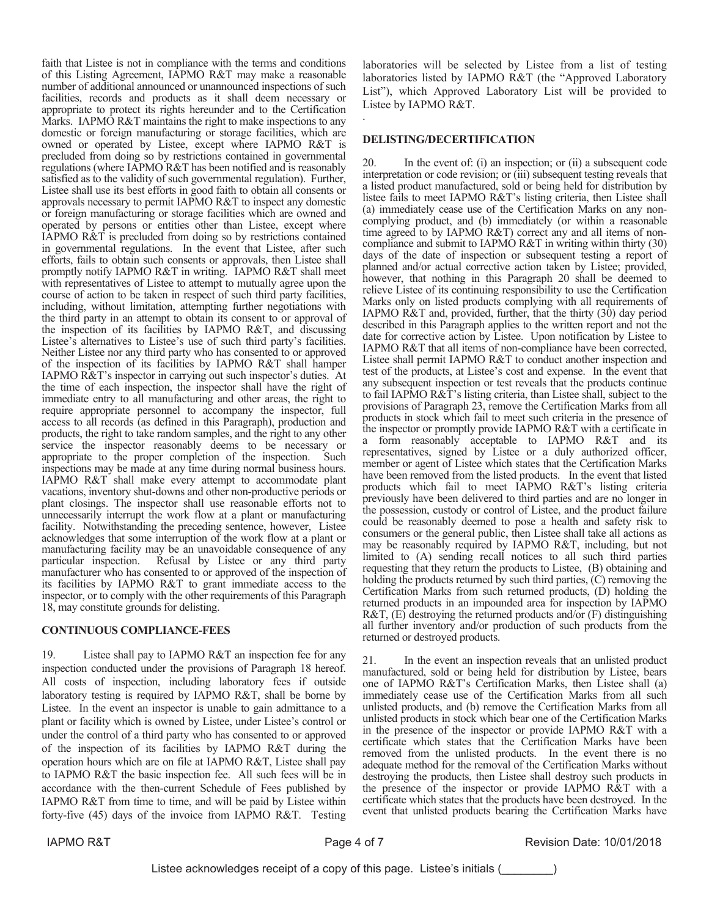faith that Listee is not in compliance with the terms and conditions of this Listing Agreement, IAPMO R&T may make a reasonable number of additional announced or unannounced inspections of such facilities, records and products as it shall deem necessary or appropriate to protect its rights hereunder and to the Certification Marks. IAPMO  $R&T$  maintains the right to make inspections to any domestic or foreign manufacturing or storage facilities, which are owned or operated by Listee, except where IAPMO R&T is precluded from doing so by restrictions contained in governmental regulations (where IAPMO  $R&T$  has been notified and is reasonably satisfied as to the validity of such governmental regulation). Further, Listee shall use its best efforts in good faith to obtain all consents or approvals necessary to permit IAPMO R&T to inspect any domestic or foreign manufacturing or storage facilities which are owned and operated by persons or entities other than Listee, except where LAPMO  $R\&T$  is precluded from doing so by restrictions contained in governmental regulations. In the event that Listee, after such efforts, fails to obtain such consents or approvals, then Listee shall promptly notify IAPMO  $R&T$  in writing. IAPMO  $R&T$  shall meet with representatives of Listee to attempt to mutually agree upon the course of action to be taken in respect of such third party facilities, including, without limitation, attempting further negotiations with the third party in an attempt to obtain its consent to or approval of the inspection of its facilities by IAPMO R&T, and discussing Listee's alternatives to Listee's use of such third party's facilities. Neither Listee nor any third party who has consented to or approved of the inspection of its facilities by IAPMO R&T shall hamper LAPMO R&T's inspector in carrying out such inspector's duties. At the time of each inspection, the inspector shall have the right of immediate entry to all manufacturing and other areas, the right to require appropriate personnel to accompany the inspector, full access to all records (as defined in this Paragraph), production and products, the right to take random samples, and the right to any other service the inspector reasonably deems to be necessary or appropriate to the proper completion of the inspection. Such inspections may be made at any time during normal business hours. LAPMO R&T shall make every attempt to accommodate plant vacations, inventory shut-downs and other non-productive periods or plant closings. The inspector shall use reasonable efforts not to unnecessarily interrupt the work flow at a plant or manufacturing facility. Notwithstanding the preceding sentence, however, Listee acknowledges that some interruption of the work flow at a plant or manufacturing facility may be an unavoidable consequence of any particular inspection. Refusal by Listee or any third party manufacturer who has consented to or approved of the inspection of its facilities by IAPMO R&T to grant immediate access to the inspector, or to comply with the other requirements of this Paragraph 18, may constitute grounds for delisting.

# **CONTINUOUS COMPLIANCE-FEES**

19. Listee shall pay to IAPMO R&T an inspection fee for any inspection conducted under the provisions of Paragraph 18 hereof. All costs of inspection, including laboratory fees if outside laboratory testing is required by IAPMO R&T, shall be borne by Listee. In the event an inspector is unable to gain admittance to a plant or facility which is owned by Listee, under Listee's control or under the control of a third party who has consented to or approved of the inspection of its facilities by IAPMO R&T during the operation hours which are on file at IAPMO R&T, Listee shall pay to IAPMO R&T the basic inspection fee. All such fees will be in accordance with the then-current Schedule of Fees published by IAPMO R&T from time to time, and will be paid by Listee within forty-five (45) days of the invoice from IAPMO R&T. Testing

laboratories will be selected by Listee from a list of testing laboratories listed by IAPMO R&T (the "Approved Laboratory List"), which Approved Laboratory List will be provided to Listee by IAPMO R&T.

## **DELISTING/DECERTIFICATION**

 $\ddot{\phantom{0}}$ 

20. In the event of: (i) an inspection; or (ii) a subsequent code interpretation or code revision; or (iii) subsequent testing reveals that a listed product manufactured, sold or being held for distribution by listee fails to meet IAPMO R&T's listing criteria, then Listee shall (a) immediately cease use of the Certification Marks on any noncomplying product, and (b) immediately (or within a reasonable time agreed to by IAPMO  $R&T$ ) correct any and all items of noncompliance and submit to IAPMO R&T in writing within thirty  $(30)$ days of the date of inspection or subsequent testing a report of planned and/or actual corrective action taken by Listee; provided, however, that nothing in this Paragraph 20 shall be deemed to relieve Listee of its continuing responsibility to use the Certification Marks only on listed products complying with all requirements of IAPMO R&T and, provided, further, that the thirty  $(3\dot{0})$  day period described in this Paragraph applies to the written report and not the date for corrective action by Listee. Upon notification by Listee to LAPMO R&T that all items of non-compliance have been corrected, Listee shall permit IAPMO R&T to conduct another inspection and test of the products, at Listee's cost and expense. In the event that any subsequent inspection or test reveals that the products continue to fail IAPMO R& $\hat{T}$ 's listing criteria, than Listee shall, subject to the provisions of Paragraph 23, remove the Certification Marks from all products in stock which fail to meet such criteria in the presence of the inspector or promptly provide IAPMO R&T with a certificate in a form reasonably acceptable to IAPMO R&T and its representatives, signed by Listee or a duly authorized officer, member or agent of Listee which states that the Certification Marks have been removed from the listed products. In the event that listed products which fail to meet IAPMO R&T's listing criteria previously have been delivered to third parties and are no longer in the possession, custody or control of Listee, and the product failure could be reasonably deemed to pose a health and safety risk to consumers or the general public, then Listee shall take all actions as may be reasonably required by IAPMO R&T, including, but not limited to (A) sending recall notices to all such third parties requesting that they return the products to Listee, (B) obtaining and holding the products returned by such third parties,  $(C)$  removing the Certification Marks from such returned products,  $(D)$  holding the returned products in an impounded area for inspection by IAPMO R&T,  $(E)$  destroying the returned products and/or  $(F)$  distinguishing all further inventory and/or production of such products from the returned or destroyed products.

21. In the event an inspection reveals that an unlisted product manufactured, sold or being held for distribution by Listee, bears one of IAPMO  $R&T$ 's Certification Marks, then Listee shall (a) immediately cease use of the Certification Marks from all such unlisted products, and (b) remove the Certification Marks from all unlisted products in stock which bear one of the Certification Marks in the presence of the inspector or provide IAPMO R&T with a certificate which states that the Certification Marks have been removed from the unlisted products. In the event there is no adequate method for the removal of the Certification Marks without destroying the products, then Listee shall destroy such products in the presence of the inspector or provide IAPMO R&T with a certificate which states that the products have been destroyed. In the event that unlisted products bearing the Certification Marks have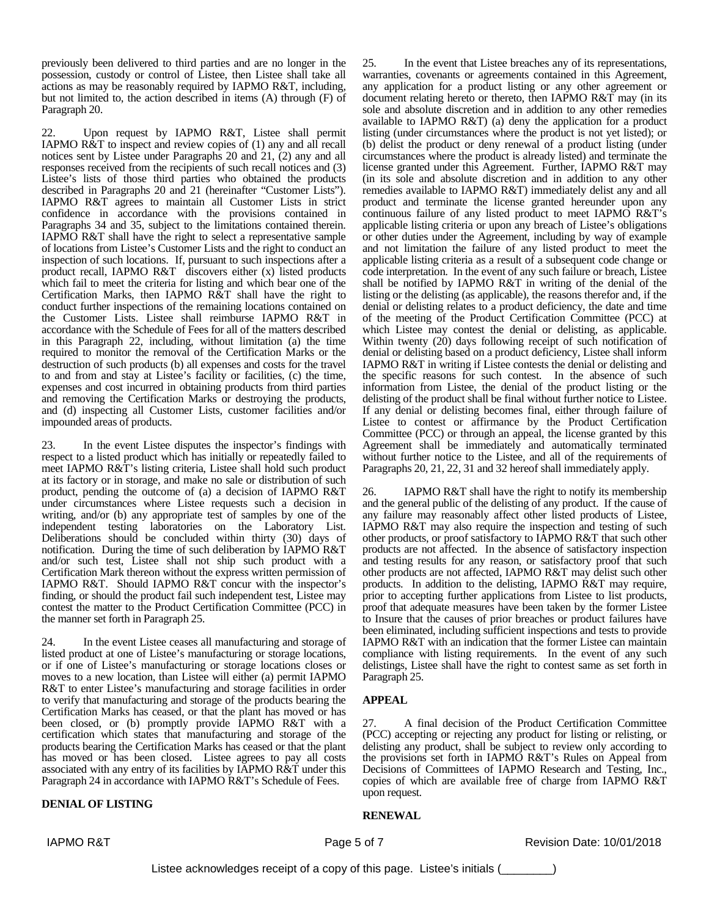previously been delivered to third parties and are no longer in the possession, custody or control of Listee, then Listee shall take all actions as may be reasonably required by IAPMO R&T, including, but not limited to, the action described in items (A) through (F) of Paragraph 20.

22. Upon request by IAPMO R&T, Listee shall permit IAPMO R&T to inspect and review copies of (1) any and all recall notices sent by Listee under Paragraphs 20 and 21, (2) any and all responses received from the recipients of such recall notices and (3) Listee's lists of those third parties who obtained the products described in Paragraphs 20 and 21 (hereinafter "Customer Lists"). IAPMO R&T agrees to maintain all Customer Lists in strict confidence in accordance with the provisions contained in Paragraphs 34 and 35, subject to the limitations contained therein. IAPMO R&T shall have the right to select a representative sample of locations from Listee's Customer Lists and the right to conduct an inspection of such locations. If, pursuant to such inspections after a product recall, IAPMO R&T discovers either (x) listed products which fail to meet the criteria for listing and which bear one of the Certification Marks, then IAPMO R&T shall have the right to conduct further inspections of the remaining locations contained on the Customer Lists. Listee shall reimburse IAPMO R&T in accordance with the Schedule of Fees for all of the matters described in this Paragraph 22, including, without limitation (a) the time required to monitor the removal of the Certification Marks or the destruction of such products (b) all expenses and costs for the travel to and from and stay at Listee's facility or facilities, (c) the time, expenses and cost incurred in obtaining products from third parties and removing the Certification Marks or destroying the products, and (d) inspecting all Customer Lists, customer facilities and/or impounded areas of products.

23. In the event Listee disputes the inspector's findings with respect to a listed product which has initially or repeatedly failed to meet IAPMO R&T's listing criteria, Listee shall hold such product at its factory or in storage, and make no sale or distribution of such product, pending the outcome of (a) a decision of IAPMO R&T under circumstances where Listee requests such a decision in writing, and/or (b) any appropriate test of samples by one of the independent testing laboratories on the Laboratory List. Deliberations should be concluded within thirty (30) days of notification. During the time of such deliberation by IAPMO R&T and/or such test, Listee shall not ship such product with a Certification Mark thereon without the express written permission of IAPMO R&T. Should IAPMO R&T concur with the inspector's finding, or should the product fail such independent test, Listee may contest the matter to the Product Certification Committee (PCC) in the manner set forth in Paragraph 25.

24. In the event Listee ceases all manufacturing and storage of listed product at one of Listee's manufacturing or storage locations, or if one of Listee's manufacturing or storage locations closes or moves to a new location, than Listee will either (a) permit IAPMO R&T to enter Listee's manufacturing and storage facilities in order to verify that manufacturing and storage of the products bearing the Certification Marks has ceased, or that the plant has moved or has been closed, or (b) promptly provide IAPMO R&T with a certification which states that manufacturing and storage of the products bearing the Certification Marks has ceased or that the plant has moved or has been closed. Listee agrees to pay all costs associated with any entry of its facilities by IAPMO R&T under this Paragraph 24 in accordance with IAPMO R&T's Schedule of Fees.

# **DENIAL OF LISTING**

25. In the event that Listee breaches any of its representations, warranties, covenants or agreements contained in this Agreement, any application for a product listing or any other agreement or document relating hereto or thereto, then IAPMO R&T may (in its sole and absolute discretion and in addition to any other remedies available to IAPMO R&T) (a) deny the application for a product listing (under circumstances where the product is not yet listed); or (b) delist the product or deny renewal of a product listing (under circumstances where the product is already listed) and terminate the license granted under this Agreement. Further, IAPMO R&T may (in its sole and absolute discretion and in addition to any other remedies available to IAPMO R&T) immediately delist any and all product and terminate the license granted hereunder upon any continuous failure of any listed product to meet IAPMO R&T's applicable listing criteria or upon any breach of Listee's obligations or other duties under the Agreement, including by way of example and not limitation the failure of any listed product to meet the applicable listing criteria as a result of a subsequent code change or code interpretation. In the event of any such failure or breach, Listee shall be notified by IAPMO R&T in writing of the denial of the listing or the delisting (as applicable), the reasons therefor and, if the denial or delisting relates to a product deficiency, the date and time of the meeting of the Product Certification Committee (PCC) at which Listee may contest the denial or delisting, as applicable. Within twenty (20) days following receipt of such notification of denial or delisting based on a product deficiency, Listee shall inform IAPMO R&T in writing if Listee contests the denial or delisting and the specific reasons for such contest. In the absence of such information from Listee, the denial of the product listing or the delisting of the product shall be final without further notice to Listee. If any denial or delisting becomes final, either through failure of Listee to contest or affirmance by the Product Certification Committee (PCC) or through an appeal, the license granted by this Agreement shall be immediately and automatically terminated without further notice to the Listee, and all of the requirements of Paragraphs 20, 21, 22, 31 and 32 hereof shall immediately apply.

26. IAPMO R&T shall have the right to notify its membership and the general public of the delisting of any product. If the cause of any failure may reasonably affect other listed products of Listee, IAPMO R&T may also require the inspection and testing of such other products, or proof satisfactory to IAPMO R&T that such other products are not affected. In the absence of satisfactory inspection and testing results for any reason, or satisfactory proof that such other products are not affected, IAPMO R&T may delist such other products. In addition to the delisting, IAPMO R&T may require, prior to accepting further applications from Listee to list products, proof that adequate measures have been taken by the former Listee to Insure that the causes of prior breaches or product failures have been eliminated, including sufficient inspections and tests to provide IAPMO R&T with an indication that the former Listee can maintain compliance with listing requirements. In the event of any such delistings, Listee shall have the right to contest same as set forth in Paragraph 25.

### **APPEAL**

27. A final decision of the Product Certification Committee (PCC) accepting or rejecting any product for listing or relisting, or delisting any product, shall be subject to review only according to the provisions set forth in IAPMO R&T's Rules on Appeal from Decisions of Committees of IAPMO Research and Testing, Inc., copies of which are available free of charge from IAPMO R&T upon request.

### **RENEWAL**

IAPMO R&T **Page 5 of 7** Page 5 of 7 Revision Date: 10/01/2018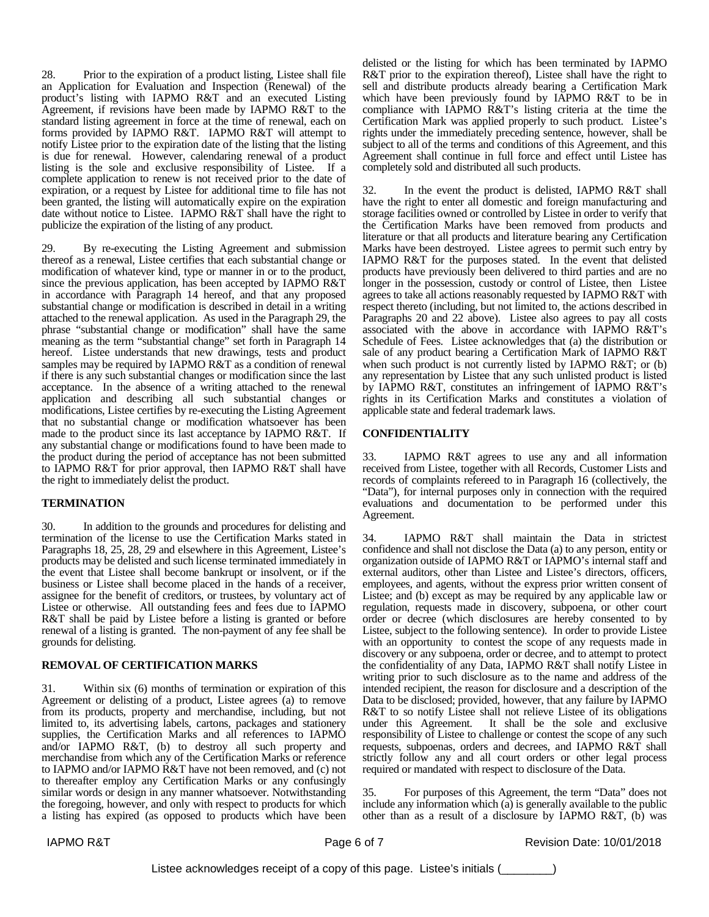28. Prior to the expiration of a product listing, Listee shall file an Application for Evaluation and Inspection (Renewal) of the product's listing with IAPMO R&T and an executed Listing Agreement, if revisions have been made by IAPMO R&T to the standard listing agreement in force at the time of renewal, each on forms provided by IAPMO R&T. IAPMO R&T will attempt to notify Listee prior to the expiration date of the listing that the listing is due for renewal. However, calendaring renewal of a product listing is the sole and exclusive responsibility of Listee. If a complete application to renew is not received prior to the date of expiration, or a request by Listee for additional time to file has not been granted, the listing will automatically expire on the expiration date without notice to Listee. IAPMO R&T shall have the right to publicize the expiration of the listing of any product.

29. By re-executing the Listing Agreement and submission thereof as a renewal, Listee certifies that each substantial change or modification of whatever kind, type or manner in or to the product, since the previous application, has been accepted by IAPMO R&T in accordance with Paragraph 14 hereof, and that any proposed substantial change or modification is described in detail in a writing attached to the renewal application. As used in the Paragraph 29, the phrase "substantial change or modification" shall have the same meaning as the term "substantial change" set forth in Paragraph 14 hereof. Listee understands that new drawings, tests and product samples may be required by IAPMO R&T as a condition of renewal if there is any such substantial changes or modification since the last acceptance. In the absence of a writing attached to the renewal application and describing all such substantial changes or modifications, Listee certifies by re-executing the Listing Agreement that no substantial change or modification whatsoever has been made to the product since its last acceptance by IAPMO R&T. If any substantial change or modifications found to have been made to the product during the period of acceptance has not been submitted to IAPMO R&T for prior approval, then IAPMO R&T shall have the right to immediately delist the product.

### **TERMINATION**

30. In addition to the grounds and procedures for delisting and termination of the license to use the Certification Marks stated in Paragraphs 18, 25, 28, 29 and elsewhere in this Agreement, Listee's products may be delisted and such license terminated immediately in the event that Listee shall become bankrupt or insolvent, or if the business or Listee shall become placed in the hands of a receiver, assignee for the benefit of creditors, or trustees, by voluntary act of Listee or otherwise. All outstanding fees and fees due to IAPMO R&T shall be paid by Listee before a listing is granted or before renewal of a listing is granted. The non-payment of any fee shall be grounds for delisting.

### **REMOVAL OF CERTIFICATION MARKS**

31. Within six (6) months of termination or expiration of this Agreement or delisting of a product, Listee agrees (a) to remove from its products, property and merchandise, including, but not limited to, its advertising labels, cartons, packages and stationery supplies, the Certification Marks and all references to IAPMO and/or IAPMO R&T, (b) to destroy all such property and merchandise from which any of the Certification Marks or reference to IAPMO and/or IAPMO R&T have not been removed, and (c) not to thereafter employ any Certification Marks or any confusingly similar words or design in any manner whatsoever. Notwithstanding the foregoing, however, and only with respect to products for which a listing has expired (as opposed to products which have been

delisted or the listing for which has been terminated by IAPMO R&T prior to the expiration thereof), Listee shall have the right to sell and distribute products already bearing a Certification Mark which have been previously found by IAPMO R&T to be in compliance with IAPMO R&T's listing criteria at the time the Certification Mark was applied properly to such product. Listee's rights under the immediately preceding sentence, however, shall be subject to all of the terms and conditions of this Agreement, and this Agreement shall continue in full force and effect until Listee has completely sold and distributed all such products.

32. In the event the product is delisted, IAPMO R&T shall have the right to enter all domestic and foreign manufacturing and storage facilities owned or controlled by Listee in order to verify that the Certification Marks have been removed from products and literature or that all products and literature bearing any Certification Marks have been destroyed. Listee agrees to permit such entry by IAPMO R&T for the purposes stated. In the event that delisted products have previously been delivered to third parties and are no longer in the possession, custody or control of Listee, then Listee agrees to take all actions reasonably requested by IAPMO R&T with respect thereto (including, but not limited to, the actions described in Paragraphs 20 and 22 above). Listee also agrees to pay all costs associated with the above in accordance with IAPMO R&T's Schedule of Fees. Listee acknowledges that (a) the distribution or sale of any product bearing a Certification Mark of IAPMO R&T when such product is not currently listed by IAPMO R&T; or (b) any representation by Listee that any such unlisted product is listed by IAPMO R&T, constitutes an infringement of IAPMO R&T's rights in its Certification Marks and constitutes a violation of applicable state and federal trademark laws.

### **CONFIDENTIALITY**

33. IAPMO R&T agrees to use any and all information received from Listee, together with all Records, Customer Lists and records of complaints refereed to in Paragraph 16 (collectively, the "Data"), for internal purposes only in connection with the required evaluations and documentation to be performed under this Agreement.

34. IAPMO R&T shall maintain the Data in strictest confidence and shall not disclose the Data (a) to any person, entity or organization outside of IAPMO R&T or IAPMO's internal staff and external auditors, other than Listee and Listee's directors, officers, employees, and agents, without the express prior written consent of Listee; and (b) except as may be required by any applicable law or regulation, requests made in discovery, subpoena, or other court order or decree (which disclosures are hereby consented to by Listee, subject to the following sentence). In order to provide Listee with an opportunity to contest the scope of any requests made in discovery or any subpoena, order or decree, and to attempt to protect the confidentiality of any Data, IAPMO R&T shall notify Listee in writing prior to such disclosure as to the name and address of the intended recipient, the reason for disclosure and a description of the Data to be disclosed; provided, however, that any failure by IAPMO R&T to so notify Listee shall not relieve Listee of its obligations under this Agreement. It shall be the sole and exclusive responsibility of Listee to challenge or contest the scope of any such requests, subpoenas, orders and decrees, and IAPMO R&T shall strictly follow any and all court orders or other legal process required or mandated with respect to disclosure of the Data.

35. For purposes of this Agreement, the term "Data" does not include any information which (a) is generally available to the public other than as a result of a disclosure by IAPMO R&T, (b) was

IAPMO R&T **Page 6 of 7** Page 6 of 7 Revision Date: 10/01/2018

Listee acknowledges receipt of a copy of this page. Listee's initials (\_\_\_\_\_\_\_\_)